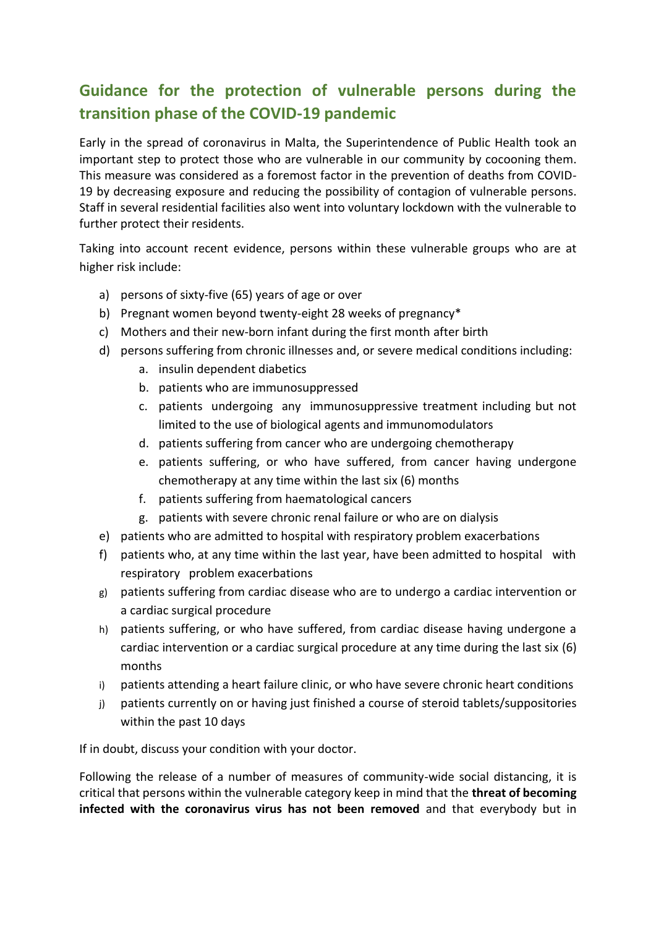# **Guidance for the protection of vulnerable persons during the transition phase of the COVID-19 pandemic**

Early in the spread of coronavirus in Malta, the Superintendence of Public Health took an important step to protect those who are vulnerable in our community by cocooning them. This measure was considered as a foremost factor in the prevention of deaths from COVID-19 by decreasing exposure and reducing the possibility of contagion of vulnerable persons. Staff in several residential facilities also went into voluntary lockdown with the vulnerable to further protect their residents.

Taking into account recent evidence, persons within these vulnerable groups who are at higher risk include:

- a) persons of sixty-five (65) years of age or over
- b) Pregnant women beyond twenty-eight 28 weeks of pregnancy\*
- c) Mothers and their new-born infant during the first month after birth
- d) persons suffering from chronic illnesses and, or severe medical conditions including:
	- a. insulin dependent diabetics
	- b. patients who are immunosuppressed
	- c. patients undergoing any immunosuppressive treatment including but not limited to the use of biological agents and immunomodulators
	- d. patients suffering from cancer who are undergoing chemotherapy
	- e. patients suffering, or who have suffered, from cancer having undergone chemotherapy at any time within the last six (6) months
	- f. patients suffering from haematological cancers
	- g. patients with severe chronic renal failure or who are on dialysis
- e) patients who are admitted to hospital with respiratory problem exacerbations
- f) patients who, at any time within the last year, have been admitted to hospital with respiratory problem exacerbations
- g) patients suffering from cardiac disease who are to undergo a cardiac intervention or a cardiac surgical procedure
- h) patients suffering, or who have suffered, from cardiac disease having undergone a cardiac intervention or a cardiac surgical procedure at any time during the last six (6) months
- i) patients attending a heart failure clinic, or who have severe chronic heart conditions
- j) patients currently on or having just finished a course of steroid tablets/suppositories within the past 10 days

If in doubt, discuss your condition with your doctor.

Following the release of a number of measures of community-wide social distancing, it is critical that persons within the vulnerable category keep in mind that the **threat of becoming infected with the coronavirus virus has not been removed** and that everybody but in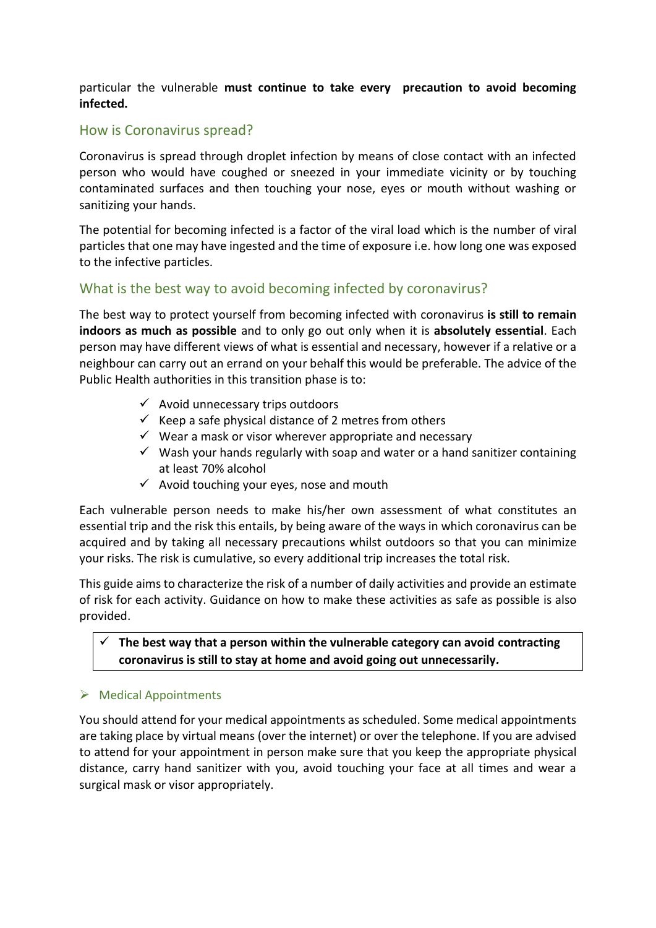particular the vulnerable **must continue to take every precaution to avoid becoming infected.**

## How is Coronavirus spread?

Coronavirus is spread through droplet infection by means of close contact with an infected person who would have coughed or sneezed in your immediate vicinity or by touching contaminated surfaces and then touching your nose, eyes or mouth without washing or sanitizing your hands.

The potential for becoming infected is a factor of the viral load which is the number of viral particles that one may have ingested and the time of exposure i.e. how long one was exposed to the infective particles.

## What is the best way to avoid becoming infected by coronavirus?

The best way to protect yourself from becoming infected with coronavirus **is still to remain indoors as much as possible** and to only go out only when it is **absolutely essential**. Each person may have different views of what is essential and necessary, however if a relative or a neighbour can carry out an errand on your behalf this would be preferable. The advice of the Public Health authorities in this transition phase is to:

- $\checkmark$  Avoid unnecessary trips outdoors
- $\checkmark$  Keep a safe physical distance of 2 metres from others
- $\checkmark$  Wear a mask or visor wherever appropriate and necessary
- $\checkmark$  Wash your hands regularly with soap and water or a hand sanitizer containing at least 70% alcohol
- $\checkmark$  Avoid touching your eyes, nose and mouth

Each vulnerable person needs to make his/her own assessment of what constitutes an essential trip and the risk this entails, by being aware of the ways in which coronavirus can be acquired and by taking all necessary precautions whilst outdoors so that you can minimize your risks. The risk is cumulative, so every additional trip increases the total risk.

This guide aimsto characterize the risk of a number of daily activities and provide an estimate of risk for each activity. Guidance on how to make these activities as safe as possible is also provided.

### **The best way that a person within the vulnerable category can avoid contracting coronavirus is still to stay at home and avoid going out unnecessarily***.*

#### $\triangleright$  Medical Appointments

You should attend for your medical appointments as scheduled. Some medical appointments are taking place by virtual means (over the internet) or over the telephone. If you are advised to attend for your appointment in person make sure that you keep the appropriate physical distance, carry hand sanitizer with you, avoid touching your face at all times and wear a surgical mask or visor appropriately.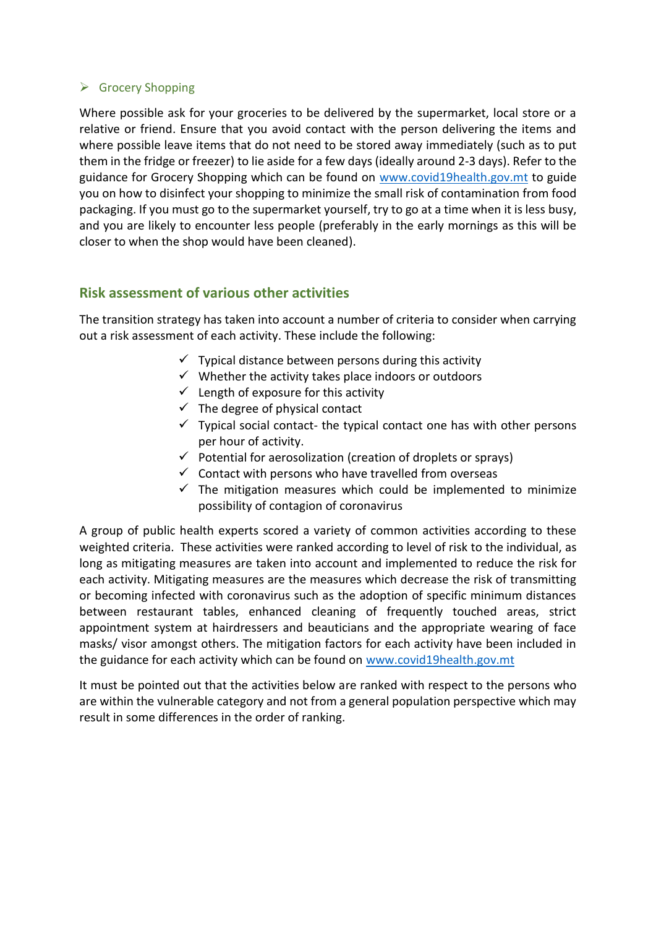### $\triangleright$  Grocery Shopping

Where possible ask for your groceries to be delivered by the supermarket, local store or a relative or friend. Ensure that you avoid contact with the person delivering the items and where possible leave items that do not need to be stored away immediately (such as to put them in the fridge or freezer) to lie aside for a few days (ideally around 2-3 days). Refer to the guidance for Grocery Shopping which can be found on [www.covid19health.gov.mt](http://www.covid19health.gov.mt/) to guide you on how to disinfect your shopping to minimize the small risk of contamination from food packaging. If you must go to the supermarket yourself, try to go at a time when it is less busy, and you are likely to encounter less people (preferably in the early mornings as this will be closer to when the shop would have been cleaned).

## **Risk assessment of various other activities**

The transition strategy has taken into account a number of criteria to consider when carrying out a risk assessment of each activity. These include the following:

- $\checkmark$  Typical distance between persons during this activity
- $\checkmark$  Whether the activity takes place indoors or outdoors
- $\checkmark$  Length of exposure for this activity
- $\checkmark$  The degree of physical contact
- $\checkmark$  Typical social contact- the typical contact one has with other persons per hour of activity.
- $\checkmark$  Potential for aerosolization (creation of droplets or sprays)
- $\checkmark$  Contact with persons who have travelled from overseas
- $\checkmark$  The mitigation measures which could be implemented to minimize possibility of contagion of coronavirus

A group of public health experts scored a variety of common activities according to these weighted criteria. These activities were ranked according to level of risk to the individual, as long as mitigating measures are taken into account and implemented to reduce the risk for each activity. Mitigating measures are the measures which decrease the risk of transmitting or becoming infected with coronavirus such as the adoption of specific minimum distances between restaurant tables, enhanced cleaning of frequently touched areas, strict appointment system at hairdressers and beauticians and the appropriate wearing of face masks/ visor amongst others. The mitigation factors for each activity have been included in the guidance for each activity which can be found on [www.covid19health.gov.mt](http://www.covid19health.gov.mt/)

It must be pointed out that the activities below are ranked with respect to the persons who are within the vulnerable category and not from a general population perspective which may result in some differences in the order of ranking.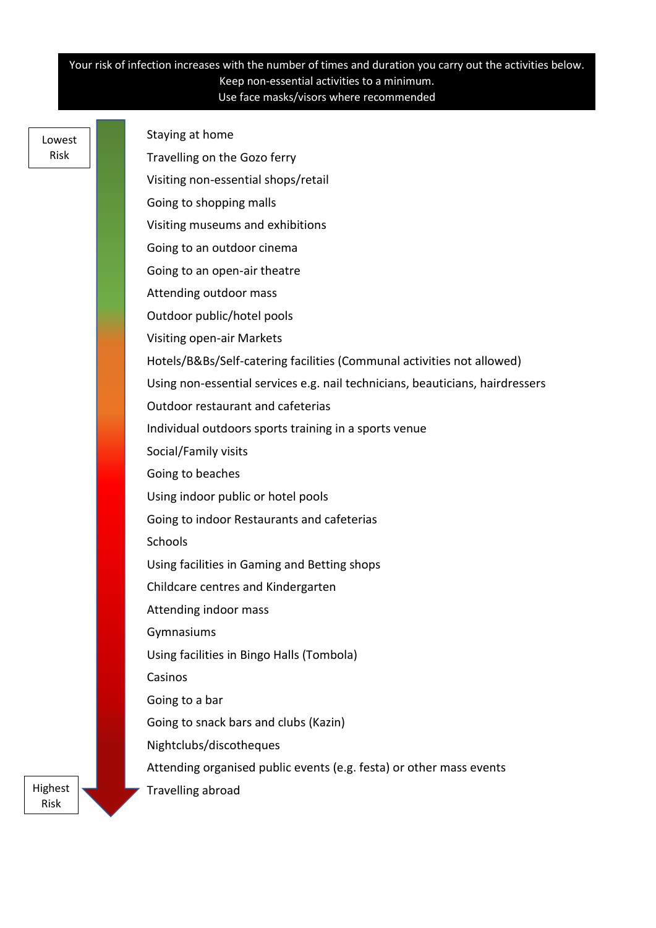#### Your risk of infection increases with the number of times and duration you carry out the activities below. Keep non-essential activities to a minimum. Use face masks/visors where recommended

Lowest Risk

Staying at home Travelling on the Gozo ferry Visiting non-essential shops/retail Going to shopping malls Visiting museums and exhibitions Going to an outdoor cinema Going to an open-air theatre Attending outdoor mass Outdoor public/hotel pools Visiting open-air Markets Hotels/B&Bs/Self-catering facilities (Communal activities not allowed) Using non-essential services e.g. nail technicians, beauticians, hairdressers Outdoor restaurant and cafeterias Individual outdoors sports training in a sports venue Social/Family visits Going to beaches Using indoor public or hotel pools Going to indoor Restaurants and cafeterias **Schools** Using facilities in Gaming and Betting shops Childcare centres and Kindergarten Attending indoor mass Gymnasiums Using facilities in Bingo Halls (Tombola) Casinos Going to a bar Going to snack bars and clubs (Kazin) Nightclubs/discotheques Attending organised public events (e.g. festa) or other mass events Travelling abroad

Highest Risk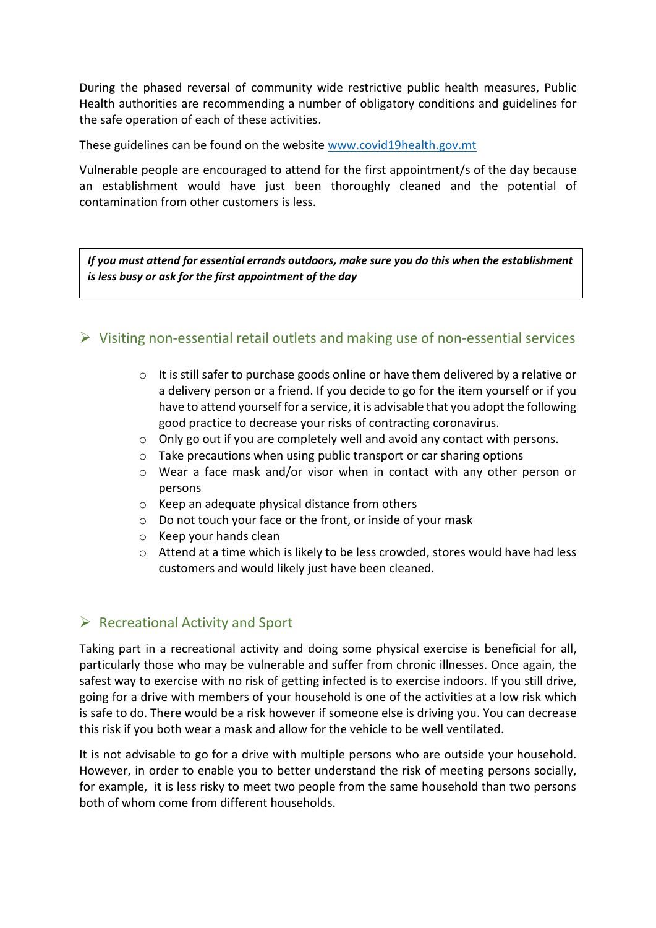During the phased reversal of community wide restrictive public health measures, Public Health authorities are recommending a number of obligatory conditions and guidelines for the safe operation of each of these activities.

These guidelines can be found on the website [www.covid19health.gov.mt](http://www.covid19health.gov.mt/)

Vulnerable people are encouraged to attend for the first appointment/s of the day because an establishment would have just been thoroughly cleaned and the potential of contamination from other customers is less.

*If you must attend for essential errands outdoors, make sure you do this when the establishment is less busy or ask for the first appointment of the day*

## $\triangleright$  Visiting non-essential retail outlets and making use of non-essential services

- $\circ$  It is still safer to purchase goods online or have them delivered by a relative or a delivery person or a friend. If you decide to go for the item yourself or if you have to attend yourself for a service, it is advisable that you adopt the following good practice to decrease your risks of contracting coronavirus.
- o Only go out if you are completely well and avoid any contact with persons.
- o Take precautions when using public transport or car sharing options
- o Wear a face mask and/or visor when in contact with any other person or persons
- o Keep an adequate physical distance from others
- o Do not touch your face or the front, or inside of your mask
- o Keep your hands clean
- o Attend at a time which is likely to be less crowded, stores would have had less customers and would likely just have been cleaned.

## $\triangleright$  Recreational Activity and Sport

Taking part in a recreational activity and doing some physical exercise is beneficial for all, particularly those who may be vulnerable and suffer from chronic illnesses. Once again, the safest way to exercise with no risk of getting infected is to exercise indoors. If you still drive, going for a drive with members of your household is one of the activities at a low risk which is safe to do. There would be a risk however if someone else is driving you. You can decrease this risk if you both wear a mask and allow for the vehicle to be well ventilated.

It is not advisable to go for a drive with multiple persons who are outside your household. However, in order to enable you to better understand the risk of meeting persons socially, for example, it is less risky to meet two people from the same household than two persons both of whom come from different households.